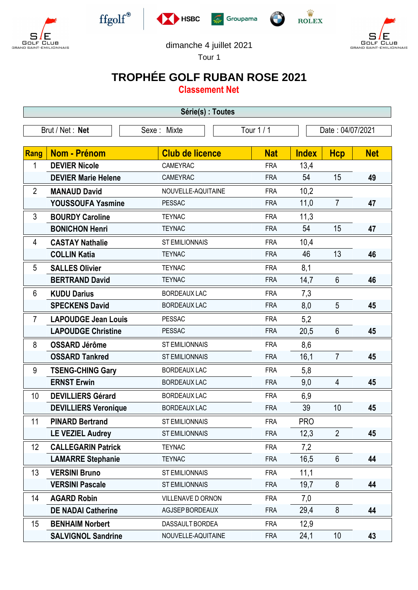









**GOLF CLUB**<br>GRAND SAINT-EMILIONNAIS



Tour 1

## **TROPHÉE GOLF RUBAN ROSE 2021**

**Classement Net**

| Série(s) : Toutes                            |                             |                        |            |                  |                 |            |  |
|----------------------------------------------|-----------------------------|------------------------|------------|------------------|-----------------|------------|--|
| Tour 1 / 1<br>Brut / Net: Net<br>Sexe: Mixte |                             |                        |            | Date: 04/07/2021 |                 |            |  |
| Rang                                         | Nom - Prénom                | <b>Club de licence</b> | <b>Nat</b> | <b>Index</b>     | <b>Hcp</b>      | <b>Net</b> |  |
| 1                                            | <b>DEVIER Nicole</b>        | CAMEYRAC               | <b>FRA</b> | 13,4             |                 |            |  |
|                                              | <b>DEVIER Marie Helene</b>  | <b>CAMEYRAC</b>        | <b>FRA</b> | 54               | 15              | 49         |  |
| $\overline{2}$                               | <b>MANAUD David</b>         | NOUVELLE-AQUITAINE     | <b>FRA</b> | 10,2             |                 |            |  |
|                                              | <b>YOUSSOUFA Yasmine</b>    | <b>PESSAC</b>          | <b>FRA</b> | 11,0             | $\overline{7}$  | 47         |  |
| 3                                            | <b>BOURDY Caroline</b>      | <b>TEYNAC</b>          | <b>FRA</b> | 11,3             |                 |            |  |
|                                              | <b>BONICHON Henri</b>       | <b>TEYNAC</b>          | <b>FRA</b> | 54               | 15              | 47         |  |
| 4                                            | <b>CASTAY Nathalie</b>      | <b>ST EMILIONNAIS</b>  | <b>FRA</b> | 10,4             |                 |            |  |
|                                              | <b>COLLIN Katia</b>         | <b>TEYNAC</b>          | <b>FRA</b> | 46               | 13              | 46         |  |
| 5                                            | <b>SALLES Olivier</b>       | <b>TEYNAC</b>          | <b>FRA</b> | 8,1              |                 |            |  |
|                                              | <b>BERTRAND David</b>       | <b>TEYNAC</b>          | <b>FRA</b> | 14,7             | $6\phantom{1}$  | 46         |  |
| 6                                            | <b>KUDU Darius</b>          | <b>BORDEAUX LAC</b>    | <b>FRA</b> | 7,3              |                 |            |  |
|                                              | <b>SPECKENS David</b>       | <b>BORDEAUX LAC</b>    | <b>FRA</b> | 8,0              | 5               | 45         |  |
| $\overline{7}$                               | <b>LAPOUDGE Jean Louis</b>  | <b>PESSAC</b>          | <b>FRA</b> | 5,2              |                 |            |  |
|                                              | <b>LAPOUDGE Christine</b>   | <b>PESSAC</b>          | <b>FRA</b> | 20,5             | $6\phantom{1}$  | 45         |  |
| 8                                            | <b>OSSARD Jérôme</b>        | <b>ST EMILIONNAIS</b>  | <b>FRA</b> | 8,6              |                 |            |  |
|                                              | <b>OSSARD Tankred</b>       | <b>ST EMILIONNAIS</b>  | <b>FRA</b> | 16,1             | $\overline{7}$  | 45         |  |
| 9                                            | <b>TSENG-CHING Gary</b>     | <b>BORDEAUX LAC</b>    | <b>FRA</b> | 5,8              |                 |            |  |
|                                              | <b>ERNST Erwin</b>          | <b>BORDEAUX LAC</b>    | <b>FRA</b> | 9,0              | 4               | 45         |  |
| 10                                           | <b>DEVILLIERS Gérard</b>    | <b>BORDEAUX LAC</b>    | <b>FRA</b> | 6,9              |                 |            |  |
|                                              | <b>DEVILLIERS Veronique</b> | <b>BORDEAUX LAC</b>    | <b>FRA</b> | 39               | 10              | 45         |  |
| 11                                           | <b>PINARD Bertrand</b>      | <b>ST EMILIONNAIS</b>  | <b>FRA</b> | <b>PRO</b>       |                 |            |  |
|                                              | <b>LE VEZIEL Audrey</b>     | <b>ST EMILIONNAIS</b>  | <b>FRA</b> | 12,3             | $\overline{2}$  | 45         |  |
| 12                                           | <b>CALLEGARIN Patrick</b>   | <b>TEYNAC</b>          | <b>FRA</b> | 7,2              |                 |            |  |
|                                              | <b>LAMARRE Stephanie</b>    | <b>TEYNAC</b>          | <b>FRA</b> | 16,5             | $6\phantom{.}6$ | 44         |  |
| 13                                           | <b>VERSINI Bruno</b>        | <b>ST EMILIONNAIS</b>  | <b>FRA</b> | 11,1             |                 |            |  |
|                                              | <b>VERSINI Pascale</b>      | <b>ST EMILIONNAIS</b>  | <b>FRA</b> | 19,7             | 8               | 44         |  |
| 14                                           | <b>AGARD Robin</b>          | VILLENAVE D ORNON      | <b>FRA</b> | 7,0              |                 |            |  |
|                                              | <b>DE NADAI Catherine</b>   | AGJSEP BORDEAUX        | <b>FRA</b> | 29,4             | $8\phantom{1}$  | 44         |  |
| 15                                           | <b>BENHAIM Norbert</b>      | DASSAULT BORDEA        | <b>FRA</b> | 12,9             |                 |            |  |
|                                              | <b>SALVIGNOL Sandrine</b>   | NOUVELLE-AQUITAINE     | <b>FRA</b> | 24,1             | 10              | 43         |  |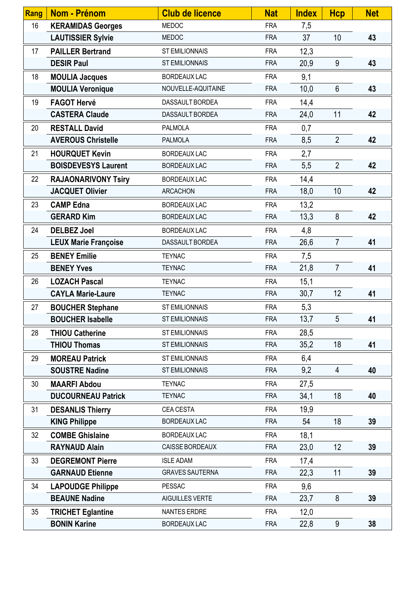| Rang | Nom - Prénom                | <b>Club de licence</b> | <b>Nat</b> | <b>Index</b> | <b>Hcp</b>     | <b>Net</b> |
|------|-----------------------------|------------------------|------------|--------------|----------------|------------|
| 16   | <b>KERAMIDAS Georges</b>    | <b>MEDOC</b>           | <b>FRA</b> | 7,5          |                |            |
|      | <b>LAUTISSIER Sylvie</b>    | <b>MEDOC</b>           | <b>FRA</b> | 37           | 10             | 43         |
| 17   | <b>PAILLER Bertrand</b>     | <b>ST EMILIONNAIS</b>  | <b>FRA</b> | 12,3         |                |            |
|      | <b>DESIR Paul</b>           | <b>ST EMILIONNAIS</b>  | <b>FRA</b> | 20,9         | 9              | 43         |
| 18   | <b>MOULIA Jacques</b>       | <b>BORDEAUX LAC</b>    | <b>FRA</b> | 9,1          |                |            |
|      | <b>MOULIA Veronique</b>     | NOUVELLE-AQUITAINE     | <b>FRA</b> | 10,0         | $6\phantom{1}$ | 43         |
| 19   | <b>FAGOT Hervé</b>          | DASSAULT BORDEA        | <b>FRA</b> | 14,4         |                |            |
|      | <b>CASTERA Claude</b>       | DASSAULT BORDEA        | <b>FRA</b> | 24,0         | 11             | 42         |
| 20   | <b>RESTALL David</b>        | <b>PALMOLA</b>         | <b>FRA</b> | 0,7          |                |            |
|      | <b>AVEROUS Christelle</b>   | <b>PALMOLA</b>         | <b>FRA</b> | 8,5          | $\overline{2}$ | 42         |
| 21   | <b>HOURQUET Kevin</b>       | <b>BORDEAUX LAC</b>    | <b>FRA</b> | 2,7          |                |            |
|      | <b>BOISDEVESYS Laurent</b>  | <b>BORDEAUX LAC</b>    | <b>FRA</b> | 5,5          | $\overline{2}$ | 42         |
| 22   | <b>RAJAONARIVONY Tsiry</b>  | <b>BORDEAUX LAC</b>    | <b>FRA</b> | 14,4         |                |            |
|      | <b>JACQUET Olivier</b>      | <b>ARCACHON</b>        | <b>FRA</b> | 18,0         | 10             | 42         |
| 23   | <b>CAMP Edna</b>            | <b>BORDEAUX LAC</b>    | <b>FRA</b> | 13,2         |                |            |
|      | <b>GERARD Kim</b>           | <b>BORDEAUX LAC</b>    | <b>FRA</b> | 13,3         | 8              | 42         |
| 24   | <b>DELBEZ Joel</b>          | <b>BORDEAUX LAC</b>    | <b>FRA</b> | 4,8          |                |            |
|      | <b>LEUX Marie Françoise</b> | DASSAULT BORDEA        | <b>FRA</b> | 26,6         | $\overline{7}$ | 41         |
| 25   | <b>BENEY Emilie</b>         | <b>TEYNAC</b>          | <b>FRA</b> | 7,5          |                |            |
|      | <b>BENEY Yves</b>           | <b>TEYNAC</b>          | <b>FRA</b> | 21,8         | $\overline{7}$ | 41         |
| 26   | <b>LOZACH Pascal</b>        | <b>TEYNAC</b>          | <b>FRA</b> | 15,1         |                |            |
|      | <b>CAYLA Marie-Laure</b>    | <b>TEYNAC</b>          | <b>FRA</b> | 30,7         | 12             | 41         |
| 27   | <b>BOUCHER Stephane</b>     | <b>ST EMILIONNAIS</b>  | <b>FRA</b> | 5,3          |                |            |
|      | <b>BOUCHER Isabelle</b>     | <b>ST EMILIONNAIS</b>  | <b>FRA</b> | 13,7         | 5              | 41         |
| 28   | <b>THIOU Catherine</b>      | <b>ST EMILIONNAIS</b>  | <b>FRA</b> | 28,5         |                |            |
|      | <b>THIOU Thomas</b>         | <b>ST EMILIONNAIS</b>  | <b>FRA</b> | 35,2         | 18             | 41         |
| 29   | <b>MOREAU Patrick</b>       | <b>ST EMILIONNAIS</b>  | <b>FRA</b> | 6,4          |                |            |
|      | <b>SOUSTRE Nadine</b>       | <b>ST EMILIONNAIS</b>  | <b>FRA</b> | 9,2          | 4              | 40         |
| 30   | <b>MAARFI Abdou</b>         | <b>TEYNAC</b>          | <b>FRA</b> | 27,5         |                |            |
|      | <b>DUCOURNEAU Patrick</b>   | <b>TEYNAC</b>          | <b>FRA</b> | 34,1         | 18             | 40         |
| 31   | <b>DESANLIS Thierry</b>     | CEA CESTA              | <b>FRA</b> | 19,9         |                |            |
|      | <b>KING Philippe</b>        | <b>BORDEAUX LAC</b>    | <b>FRA</b> | 54           | 18             | 39         |
| 32   | <b>COMBE Ghislaine</b>      | <b>BORDEAUX LAC</b>    | <b>FRA</b> | 18,1         |                |            |
|      | <b>RAYNAUD Alain</b>        | CAISSE BORDEAUX        | <b>FRA</b> | 23,0         | 12             | 39         |
| 33   | <b>DEGREMONT Pierre</b>     | <b>ISLE ADAM</b>       | <b>FRA</b> | 17,4         |                |            |
|      | <b>GARNAUD Etienne</b>      | <b>GRAVES SAUTERNA</b> | <b>FRA</b> | 22,3         | 11             | 39         |
| 34   | <b>LAPOUDGE Philippe</b>    | <b>PESSAC</b>          | <b>FRA</b> | 9,6          |                |            |
|      | <b>BEAUNE Nadine</b>        | AIGUILLES VERTE        | <b>FRA</b> | 23,7         | 8              | 39         |
| 35   | <b>TRICHET Eglantine</b>    | <b>NANTES ERDRE</b>    | <b>FRA</b> | 12,0         |                |            |
|      | <b>BONIN Karine</b>         | <b>BORDEAUX LAC</b>    | <b>FRA</b> | 22,8         | 9              | 38         |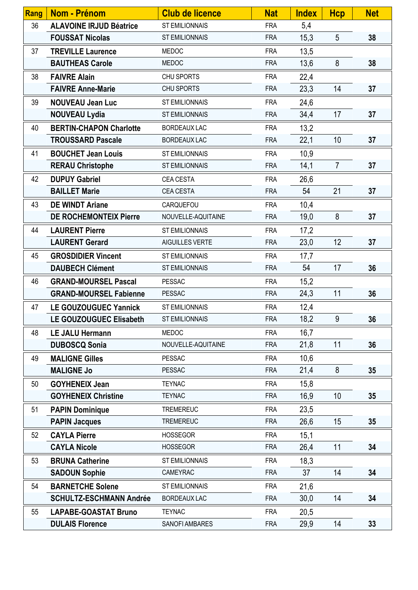| Rang | Nom - Prénom                   | <b>Club de licence</b> | <b>Nat</b> | <b>Index</b> | <b>Hcp</b>     | <b>Net</b> |
|------|--------------------------------|------------------------|------------|--------------|----------------|------------|
| 36   | <b>ALAVOINE IRJUD Béatrice</b> | <b>ST EMILIONNAIS</b>  | <b>FRA</b> | 5,4          |                |            |
|      | <b>FOUSSAT Nicolas</b>         | <b>ST EMILIONNAIS</b>  | <b>FRA</b> | 15,3         | 5              | 38         |
| 37   | <b>TREVILLE Laurence</b>       | <b>MEDOC</b>           | <b>FRA</b> | 13,5         |                |            |
|      | <b>BAUTHEAS Carole</b>         | <b>MEDOC</b>           | <b>FRA</b> | 13,6         | 8              | 38         |
| 38   | <b>FAIVRE Alain</b>            | <b>CHU SPORTS</b>      | <b>FRA</b> | 22,4         |                |            |
|      | <b>FAIVRE Anne-Marie</b>       | CHU SPORTS             | <b>FRA</b> | 23,3         | 14             | 37         |
| 39   | <b>NOUVEAU Jean Luc</b>        | <b>ST EMILIONNAIS</b>  | <b>FRA</b> | 24,6         |                |            |
|      | <b>NOUVEAU Lydia</b>           | <b>ST EMILIONNAIS</b>  | <b>FRA</b> | 34,4         | 17             | 37         |
| 40   | <b>BERTIN-CHAPON Charlotte</b> | <b>BORDEAUX LAC</b>    | <b>FRA</b> | 13,2         |                |            |
|      | <b>TROUSSARD Pascale</b>       | <b>BORDEAUX LAC</b>    | <b>FRA</b> | 22,1         | 10             | 37         |
| 41   | <b>BOUCHET Jean Louis</b>      | <b>ST EMILIONNAIS</b>  | <b>FRA</b> | 10,9         |                |            |
|      | <b>RERAU Christophe</b>        | <b>ST EMILIONNAIS</b>  | <b>FRA</b> | 14,1         | $\overline{7}$ | 37         |
| 42   | <b>DUPUY Gabriel</b>           | CEA CESTA              | <b>FRA</b> | 26,6         |                |            |
|      | <b>BAILLET Marie</b>           | <b>CEA CESTA</b>       | <b>FRA</b> | 54           | 21             | 37         |
| 43   | <b>DE WINDT Ariane</b>         | CARQUEFOU              | <b>FRA</b> | 10,4         |                |            |
|      | <b>DE ROCHEMONTEIX Pierre</b>  | NOUVELLE-AQUITAINE     | <b>FRA</b> | 19,0         | 8              | 37         |
| 44   | <b>LAURENT Pierre</b>          | <b>ST EMILIONNAIS</b>  | <b>FRA</b> | 17,2         |                |            |
|      | <b>LAURENT Gerard</b>          | AIGUILLES VERTE        | <b>FRA</b> | 23,0         | 12             | 37         |
| 45   | <b>GROSDIDIER Vincent</b>      | <b>ST EMILIONNAIS</b>  | <b>FRA</b> | 17,7         |                |            |
|      | <b>DAUBECH Clément</b>         | <b>ST EMILIONNAIS</b>  | <b>FRA</b> | 54           | 17             | 36         |
| 46   | <b>GRAND-MOURSEL Pascal</b>    | <b>PESSAC</b>          | <b>FRA</b> | 15,2         |                |            |
|      | <b>GRAND-MOURSEL Fabienne</b>  | <b>PESSAC</b>          | <b>FRA</b> | 24,3         | 11             | 36         |
| 47   | <b>LE GOUZOUGUEC Yannick</b>   | <b>ST EMILIONNAIS</b>  | <b>FRA</b> | 12,4         |                |            |
|      | LE GOUZOUGUEC Elisabeth        | <b>ST EMILIONNAIS</b>  | <b>FRA</b> | 18,2         | 9              | 36         |
| 48   | <b>LE JALU Hermann</b>         | <b>MEDOC</b>           | <b>FRA</b> | 16,7         |                |            |
|      | <b>DUBOSCQ Sonia</b>           | NOUVELLE-AQUITAINE     | <b>FRA</b> | 21,8         | 11             | 36         |
| 49   | <b>MALIGNE Gilles</b>          | <b>PESSAC</b>          | <b>FRA</b> | 10,6         |                |            |
|      | <b>MALIGNE Jo</b>              | <b>PESSAC</b>          | <b>FRA</b> | 21,4         | 8              | 35         |
| 50   | <b>GOYHENEIX Jean</b>          | <b>TEYNAC</b>          | <b>FRA</b> | 15,8         |                |            |
|      | <b>GOYHENEIX Christine</b>     | <b>TEYNAC</b>          | <b>FRA</b> | 16,9         | 10             | 35         |
| 51   | <b>PAPIN Dominique</b>         | <b>TREMEREUC</b>       | <b>FRA</b> | 23,5         |                |            |
|      | <b>PAPIN Jacques</b>           | <b>TREMEREUC</b>       | <b>FRA</b> | 26,6         | 15             | 35         |
| 52   | <b>CAYLA Pierre</b>            | <b>HOSSEGOR</b>        | <b>FRA</b> | 15,1         |                |            |
|      | <b>CAYLA Nicole</b>            | <b>HOSSEGOR</b>        | <b>FRA</b> | 26,4         | 11             | 34         |
| 53   | <b>BRUNA Catherine</b>         | <b>ST EMILIONNAIS</b>  | <b>FRA</b> | 18,3         |                |            |
|      | <b>SADOUN Sophie</b>           | CAMEYRAC               | <b>FRA</b> | 37           | 14             | 34         |
| 54   | <b>BARNETCHE Solene</b>        | <b>ST EMILIONNAIS</b>  | <b>FRA</b> | 21,6         |                |            |
|      | <b>SCHULTZ-ESCHMANN Andrée</b> | <b>BORDEAUX LAC</b>    | <b>FRA</b> | 30,0         | 14             | 34         |
| 55   | <b>LAPABE-GOASTAT Bruno</b>    | <b>TEYNAC</b>          | <b>FRA</b> | 20,5         |                |            |
|      | <b>DULAIS Florence</b>         | <b>SANOFI AMBARES</b>  | <b>FRA</b> | 29,9         | 14             | 33         |